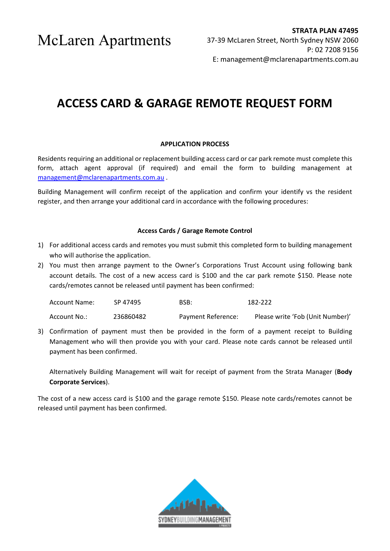McLaren Apartments

## **ACCESS CARD & GARAGE REMOTE REQUEST FORM**

### **APPLICATION PROCESS**

Residents requiring an additional or replacement building access card or car park remote must complete this form, attach agent approval (if required) and email the form to building management at [management@mclarenapartments.com.au](mailto:management@mclarenapartments.com.au) .

Building Management will confirm receipt of the application and confirm your identify vs the resident register, and then arrange your additional card in accordance with the following procedures:

### **Access Cards / Garage Remote Control**

- 1) For additional access cards and remotes you must submit this completed form to building management who will authorise the application.
- 2) You must then arrange payment to the Owner's Corporations Trust Account using following bank account details. The cost of a new access card is \$100 and the car park remote \$150. Please note cards/remotes cannot be released until payment has been confirmed:

| <b>Account Name:</b> | SP 47495  | BSB:               | 182-222                          |
|----------------------|-----------|--------------------|----------------------------------|
| Account No.:         | 236860482 | Payment Reference: | Please write 'Fob (Unit Number)' |

3) Confirmation of payment must then be provided in the form of a payment receipt to Building Management who will then provide you with your card. Please note cards cannot be released until payment has been confirmed.

Alternatively Building Management will wait for receipt of payment from the Strata Manager (**Body Corporate Services**).

The cost of a new access card is \$100 and the garage remote \$150. Please note cards/remotes cannot be released until payment has been confirmed.

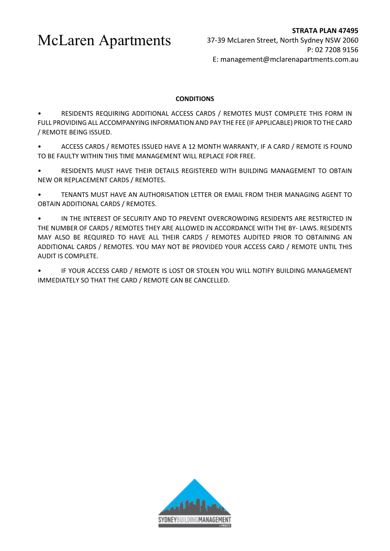McLaren Apartments

### **CONDITIONS**

• RESIDENTS REQUIRING ADDITIONAL ACCESS CARDS / REMOTES MUST COMPLETE THIS FORM IN FULL PROVIDING ALL ACCOMPANYING INFORMATION AND PAY THE FEE (IF APPLICABLE) PRIOR TO THE CARD / REMOTE BEING ISSUED.

• ACCESS CARDS / REMOTES ISSUED HAVE A 12 MONTH WARRANTY, IF A CARD / REMOTE IS FOUND TO BE FAULTY WITHIN THIS TIME MANAGEMENT WILL REPLACE FOR FREE.

• RESIDENTS MUST HAVE THEIR DETAILS REGISTERED WITH BUILDING MANAGEMENT TO OBTAIN NEW OR REPLACEMENT CARDS / REMOTES.

• TENANTS MUST HAVE AN AUTHORISATION LETTER OR EMAIL FROM THEIR MANAGING AGENT TO OBTAIN ADDITIONAL CARDS / REMOTES.

• IN THE INTEREST OF SECURITY AND TO PREVENT OVERCROWDING RESIDENTS ARE RESTRICTED IN THE NUMBER OF CARDS / REMOTES THEY ARE ALLOWED IN ACCORDANCE WITH THE BY- LAWS. RESIDENTS MAY ALSO BE REQUIRED TO HAVE ALL THEIR CARDS / REMOTES AUDITED PRIOR TO OBTAINING AN ADDITIONAL CARDS / REMOTES. YOU MAY NOT BE PROVIDED YOUR ACCESS CARD / REMOTE UNTIL THIS AUDIT IS COMPLETE.

• IF YOUR ACCESS CARD / REMOTE IS LOST OR STOLEN YOU WILL NOTIFY BUILDING MANAGEMENT IMMEDIATELY SO THAT THE CARD / REMOTE CAN BE CANCELLED.